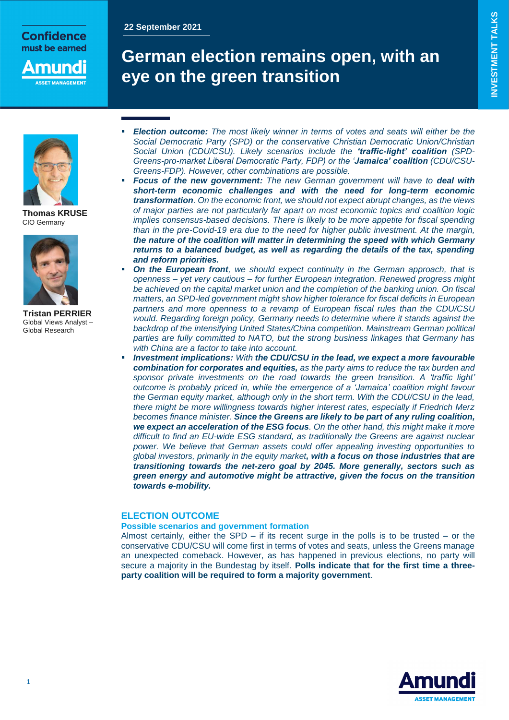## **Confidence** must be earned

nund

## **22 September 2021**

# **German election remains open, with an eye on the green transition**



**Thomas KRUSE** CIO Germany



**Tristan PERRIER** Global Views Analyst – Global Research

- *Election outcome: The most likely winner in terms of votes and seats will either be the Social Democratic Party (SPD) or the conservative Christian Democratic Union/Christian Social Union (CDU/CSU). Likely scenarios include the 'traffic-light' coalition (SPD-Greens-pro-market Liberal Democratic Party, FDP) or the 'Jamaica' coalition (CDU/CSU-Greens-FDP). However, other combinations are possible.*
- *Focus of the new government: The new German government will have to deal with short-term economic challenges and with the need for long-term economic transformation. On the economic front, we should not expect abrupt changes, as the views of major parties are not particularly far apart on most economic topics and coalition logic implies consensus-based decisions. There is likely to be more appetite for fiscal spending than in the pre-Covid-19 era due to the need for higher public investment. At the margin, the nature of the coalition will matter in determining the speed with which Germany returns to a balanced budget, as well as regarding the details of the tax, spending and reform priorities.*
- *On the European front, we should expect continuity in the German approach, that is openness – yet very cautious – for further European integration. Renewed progress might be achieved on the capital market union and the completion of the banking union. On fiscal matters, an SPD-led government might show higher tolerance for fiscal deficits in European partners and more openness to a revamp of European fiscal rules than the CDU/CSU would. Regarding foreign policy, Germany needs to determine where it stands against the backdrop of the intensifying United States/China competition. Mainstream German political parties are fully committed to NATO, but the strong business linkages that Germany has with China are a factor to take into account.*
- *Investment implications: With the CDU/CSU in the lead, we expect a more favourable combination for corporates and equities, as the party aims to reduce the tax burden and sponsor private investments on the road towards the green transition. A 'traffic light' outcome is probably priced in, while the emergence of a 'Jamaica' coalition might favour the German equity market, although only in the short term. With the CDU/CSU in the lead, there might be more willingness towards higher interest rates, especially if Friedrich Merz becomes finance minister. Since the Greens are likely to be part of any ruling coalition, we expect an acceleration of the ESG focus. On the other hand, this might make it more difficult to find an EU-wide ESG standard, as traditionally the Greens are against nuclear power. We believe that German assets could offer appealing investing opportunities to global investors, primarily in the equity market, with a focus on those industries that are transitioning towards the net-zero goal by 2045. More generally, sectors such as green energy and automotive might be attractive, given the focus on the transition towards e-mobility.*

## **ELECTION OUTCOME**

## **Possible scenarios and government formation**

Almost certainly, either the SPD *–* if its recent surge in the polls is to be trusted *–* or the conservative CDU/CSU will come first in terms of votes and seats, unless the Greens manage an unexpected comeback. However, as has happened in previous elections, no party will secure a majority in the Bundestag by itself. **Polls indicate that for the first time a threeparty coalition will be required to form a majority government**.

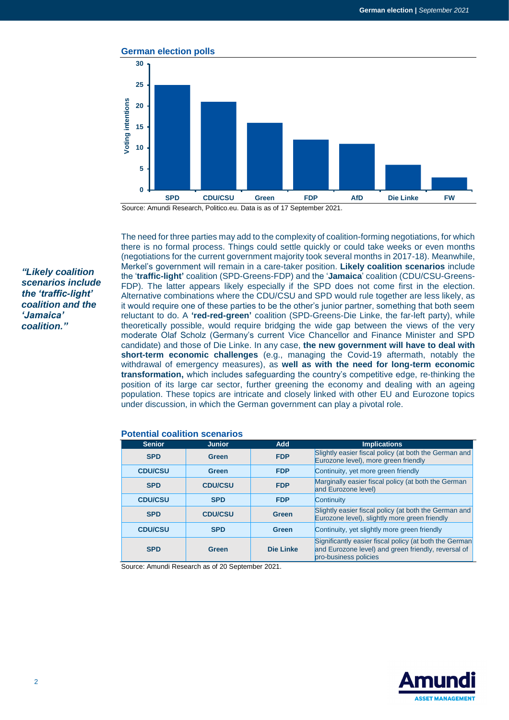

Source: Amundi Research, Politico.eu. Data is as of 17 September 2021.

*"Likely coalition scenarios include the 'traffic-light' coalition and the 'Jamaica' coalition."*

The need for three parties may add to the complexity of coalition-forming negotiations, for which there is no formal process. Things could settle quickly or could take weeks or even months (negotiations for the current government majority took several months in 2017-18). Meanwhile, Merkel's government will remain in a care-taker position. **Likely coalition scenarios** include the '**traffic-light'** coalition (SPD-Greens-FDP) and the '**Jamaica**' coalition (CDU/CSU-Greens-FDP). The latter appears likely especially if the SPD does not come first in the election. Alternative combinations where the CDU/CSU and SPD would rule together are less likely, as it would require one of these parties to be the other's junior partner, something that both seem reluctant to do. A **'red-red-green'** coalition (SPD-Greens-Die Linke, the far-left party), while theoretically possible, would require bridging the wide gap between the views of the very moderate Olaf Scholz (Germany's current Vice Chancellor and Finance Minister and SPD candidate) and those of Die Linke. In any case, **the new government will have to deal with short-term economic challenges** (e.g., managing the Covid-19 aftermath, notably the withdrawal of emergency measures), as **well as with the need for long-term economic transformation,** which includes safeguarding the country's competitive edge, re-thinking the position of its large car sector, further greening the economy and dealing with an ageing population. These topics are intricate and closely linked with other EU and Eurozone topics under discussion, in which the German government can play a pivotal role.

| <b>Senior</b>  | <b>Junior</b>  | <b>Add</b>   | <b>Implications</b>                                                                                                                    |
|----------------|----------------|--------------|----------------------------------------------------------------------------------------------------------------------------------------|
| <b>SPD</b>     | Green          | <b>FDP</b>   | Slightly easier fiscal policy (at both the German and<br>Eurozone level), more green friendly                                          |
| <b>CDU/CSU</b> | <b>Green</b>   | <b>FDP</b>   | Continuity, yet more green friendly                                                                                                    |
| <b>SPD</b>     | <b>CDU/CSU</b> | <b>FDP</b>   | Marginally easier fiscal policy (at both the German<br>and Eurozone level)                                                             |
| <b>CDU/CSU</b> | <b>SPD</b>     | <b>FDP</b>   | Continuity                                                                                                                             |
| <b>SPD</b>     | <b>CDU/CSU</b> | <b>Green</b> | Slightly easier fiscal policy (at both the German and<br>Eurozone level), slightly more green friendly                                 |
| <b>CDU/CSU</b> | <b>SPD</b>     | <b>Green</b> | Continuity, yet slightly more green friendly                                                                                           |
| <b>SPD</b>     | <b>Green</b>   | Die Linke    | Significantly easier fiscal policy (at both the German<br>and Eurozone level) and green friendly, reversal of<br>pro-business policies |

#### **Potential coalition scenarios**

Source: Amundi Research as of 20 September 2021.

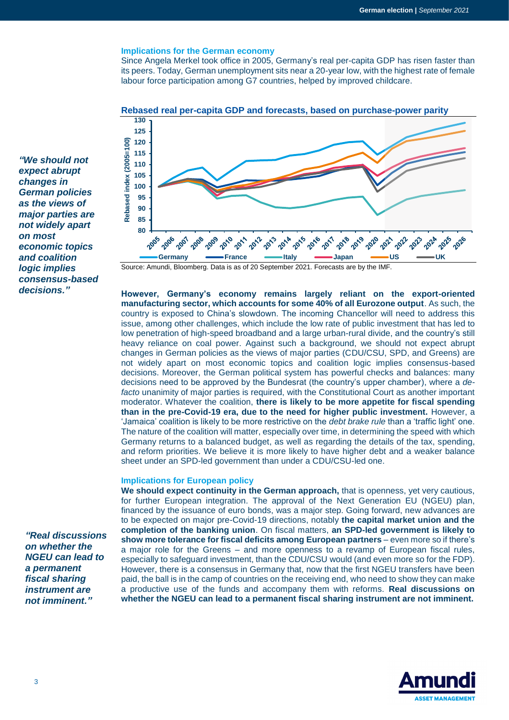#### **Implications for the German economy**

Since Angela Merkel took office in 2005, Germany's real per-capita GDP has risen faster than its peers. Today, German unemployment sits near a 20-year low, with the highest rate of female labour force participation among G7 countries, helped by improved childcare.



**Rebased real per-capita GDP and forecasts, based on purchase-power parity**

*"We should not expect abrupt changes in German policies as the views of major parties are not widely apart on most economic topics and coalition logic implies consensus-based decisions."*

*"Real discussions on whether the NGEU can lead to a permanent fiscal sharing instrument are not imminent."*

Source: Amundi, Bloomberg. Data is as of 20 September 2021. Forecasts are by the IMF.

**However, Germany's economy remains largely reliant on the export-oriented manufacturing sector, which accounts for some 40% of all Eurozone output**. As such, the country is exposed to China's slowdown. The incoming Chancellor will need to address this issue, among other challenges, which include the low rate of public investment that has led to low penetration of high-speed broadband and a large urban-rural divide, and the country's still heavy reliance on coal power. Against such a background, we should not expect abrupt changes in German policies as the views of major parties (CDU/CSU, SPD, and Greens) are not widely apart on most economic topics and coalition logic implies consensus-based decisions. Moreover, the German political system has powerful checks and balances: many decisions need to be approved by the Bundesrat (the country's upper chamber), where a *defacto* unanimity of major parties is required, with the Constitutional Court as another important moderator. Whatever the coalition, **there is likely to be more appetite for fiscal spending than in the pre-Covid-19 era, due to the need for higher public investment.** However, a 'Jamaica' coalition is likely to be more restrictive on the *debt brake rule* than a 'traffic light' one. The nature of the coalition will matter, especially over time, in determining the speed with which Germany returns to a balanced budget, as well as regarding the details of the tax, spending, and reform priorities. We believe it is more likely to have higher debt and a weaker balance sheet under an SPD-led government than under a CDU/CSU-led one.

#### **Implications for European policy**

**We should expect continuity in the German approach,** that is openness, yet very cautious, for further European integration. The approval of the Next Generation EU (NGEU) plan, financed by the issuance of euro bonds, was a major step. Going forward, new advances are to be expected on major pre-Covid-19 directions, notably **the capital market union and the completion of the banking union**. On fiscal matters, **an SPD-led government is likely to show more tolerance for fiscal deficits among European partners** *–* even more so if there's a major role for the Greens *–* and more openness to a revamp of European fiscal rules, especially to safeguard investment, than the CDU/CSU would (and even more so for the FDP). However, there is a consensus in Germany that, now that the first NGEU transfers have been paid, the ball is in the camp of countries on the receiving end, who need to show they can make a productive use of the funds and accompany them with reforms. **Real discussions on whether the NGEU can lead to a permanent fiscal sharing instrument are not imminent.**

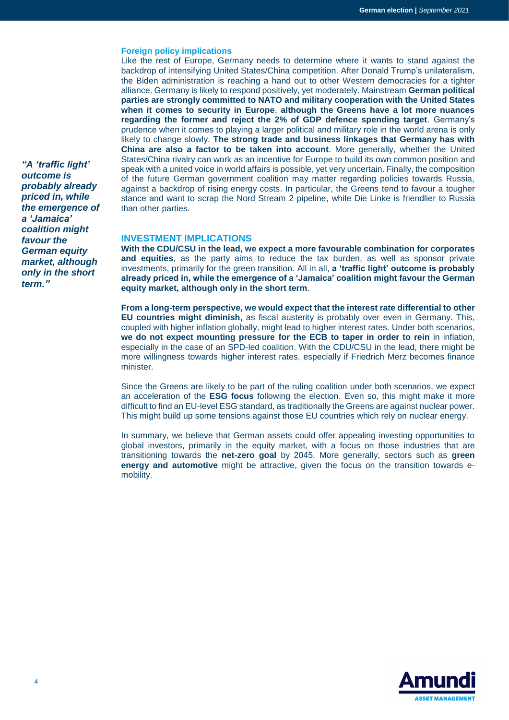#### **Foreign policy implications**

Like the rest of Europe, Germany needs to determine where it wants to stand against the backdrop of intensifying United States/China competition. After Donald Trump's unilateralism, the Biden administration is reaching a hand out to other Western democracies for a tighter alliance. Germany is likely to respond positively, yet moderately. Mainstream **German political parties are strongly committed to NATO and military cooperation with the United States when it comes to security in Europe**, **although the Greens have a lot more nuances regarding the former and reject the 2% of GDP defence spending target**. Germany's prudence when it comes to playing a larger political and military role in the world arena is only likely to change slowly. **The strong trade and business linkages that Germany has with China are also a factor to be taken into account**. More generally, whether the United States/China rivalry can work as an incentive for Europe to build its own common position and speak with a united voice in world affairs is possible, yet very uncertain. Finally, the composition of the future German government coalition may matter regarding policies towards Russia, against a backdrop of rising energy costs. In particular, the Greens tend to favour a tougher stance and want to scrap the Nord Stream 2 pipeline, while Die Linke is friendlier to Russia than other parties.

## **INVESTMENT IMPLICATIONS**

**With the CDU/CSU in the lead, we expect a more favourable combination for corporates and equities**, as the party aims to reduce the tax burden, as well as sponsor private investments, primarily for the green transition. All in all, **a 'traffic light' outcome is probably already priced in, while the emergence of a 'Jamaica' coalition might favour the German equity market, although only in the short term**.

**From a long-term perspective, we would expect that the interest rate differential to other EU countries might diminish,** as fiscal austerity is probably over even in Germany. This, coupled with higher inflation globally, might lead to higher interest rates. Under both scenarios, **we do not expect mounting pressure for the ECB to taper in order to rein** in inflation, especially in the case of an SPD-led coalition. With the CDU/CSU in the lead, there might be more willingness towards higher interest rates, especially if Friedrich Merz becomes finance minister.

Since the Greens are likely to be part of the ruling coalition under both scenarios, we expect an acceleration of the **ESG focus** following the election. Even so, this might make it more difficult to find an EU-level ESG standard, as traditionally the Greens are against nuclear power. This might build up some tensions against those EU countries which rely on nuclear energy.

In summary, we believe that German assets could offer appealing investing opportunities to global investors, primarily in the equity market, with a focus on those industries that are transitioning towards the **net-zero goal** by 2045. More generally, sectors such as **green energy and automotive** might be attractive, given the focus on the transition towards emobility.



*"A 'traffic light' outcome is probably already priced in, while the emergence of a 'Jamaica' coalition might favour the German equity market, although only in the short term."*